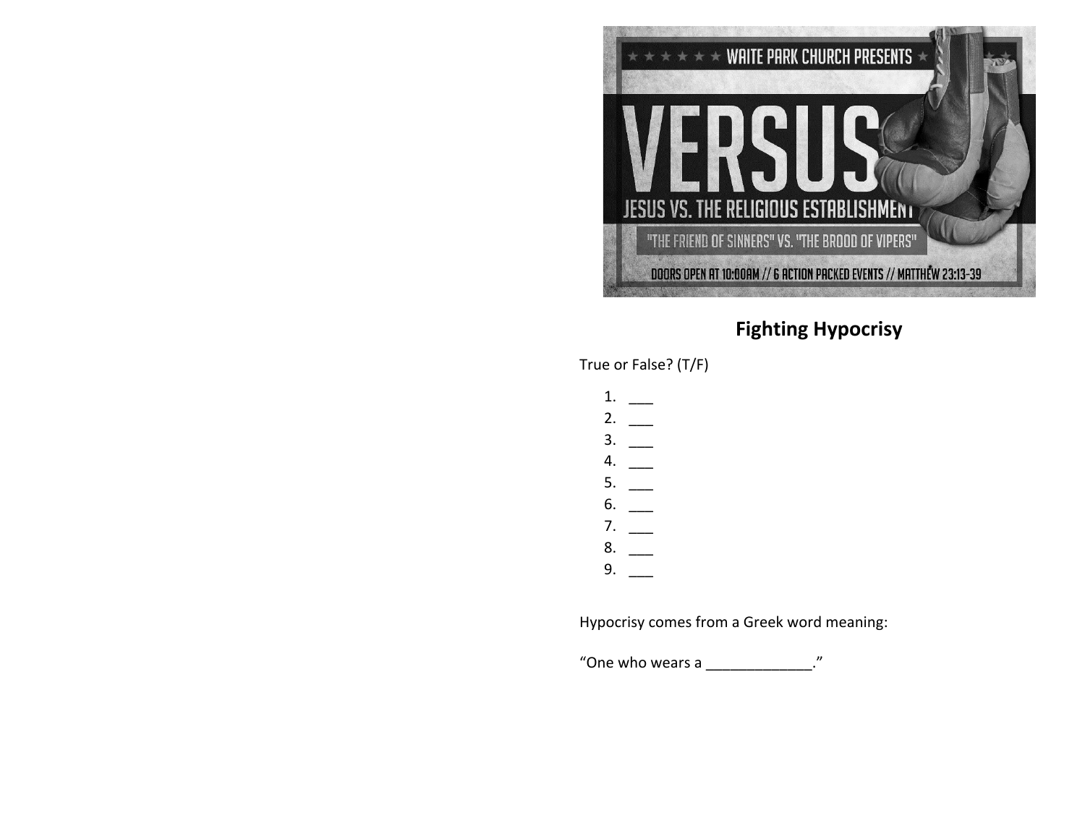

## **Fighting Hypocrisy**

True or False? (T/F)

| 1. |  |
|----|--|
| 2. |  |
| 3. |  |
| 4. |  |
| 5. |  |
| 6. |  |
| 7. |  |
| 8. |  |
| 9. |  |

Hypocrisy comes from a Greek word meaning:

"One who wears a \_\_\_\_\_\_\_\_\_\_\_\_\_\_."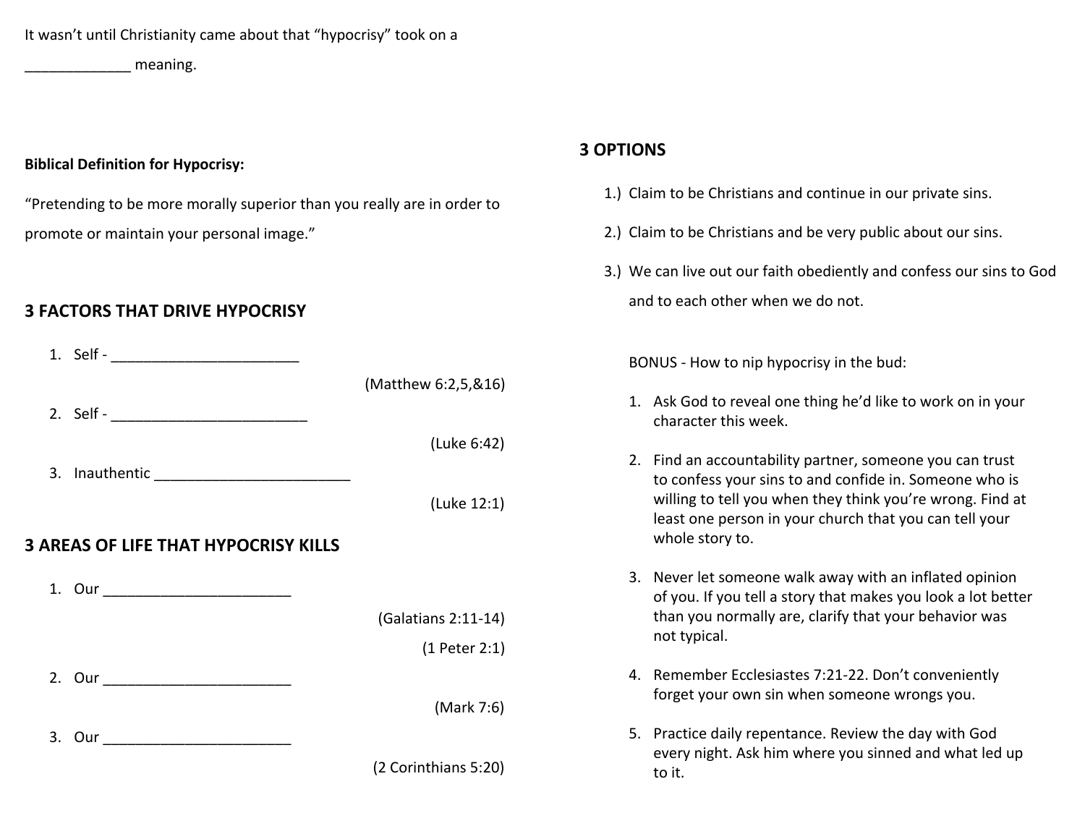It wasn't until Christianity came about that "hypocrisy" took on a

\_\_\_\_\_\_\_\_\_\_\_\_\_ meaning.

## **Biblical Definition for Hypocrisy:**

"Pretending to be more morally superior than you really are in order to promote or maintain your personal image."

## **3 FACTORS THAT DRIVE HYPOCRISY**

|                                             | (Matthew 6:2,5,&16)  |
|---------------------------------------------|----------------------|
|                                             |                      |
|                                             | (Luke 6:42)          |
|                                             |                      |
|                                             | (Luke 12:1)          |
| <b>3 AREAS OF LIFE THAT HYPOCRISY KILLS</b> |                      |
|                                             |                      |
|                                             | (Galatians 2:11-14)  |
|                                             | (1 Peter 2:1)        |
|                                             |                      |
|                                             | (Mark 7:6)           |
|                                             |                      |
|                                             | (2 Corinthians 5:20) |
|                                             |                      |

## **3 OPTIONS**

- 1.) Claim to be Christians and continue in our private sins.
- 2.) Claim to be Christians and be very public about our sins.
- 3.) We can live out our faith obediently and confess our sins to God and to each other when we do not.

BONUS - How to nip hypocrisy in the bud:

- 1. Ask God to reveal one thing he'd like to work on in your character this week.
- 2. Find an accountability partner, someone you can trust to confess your sins to and confide in. Someone who is willing to tell you when they think you're wrong. Find at least one person in your church that you can tell your whole story to.
- 3. Never let someone walk away with an inflated opinion of you. If you tell a story that makes you look a lot better than you normally are, clarify that your behavior was not typical.
- 4. Remember Ecclesiastes 7:21-22. Don't conveniently forget your own sin when someone wrongs you.
- 5. Practice daily repentance. Review the day with God every night. Ask him where you sinned and what led up to it.